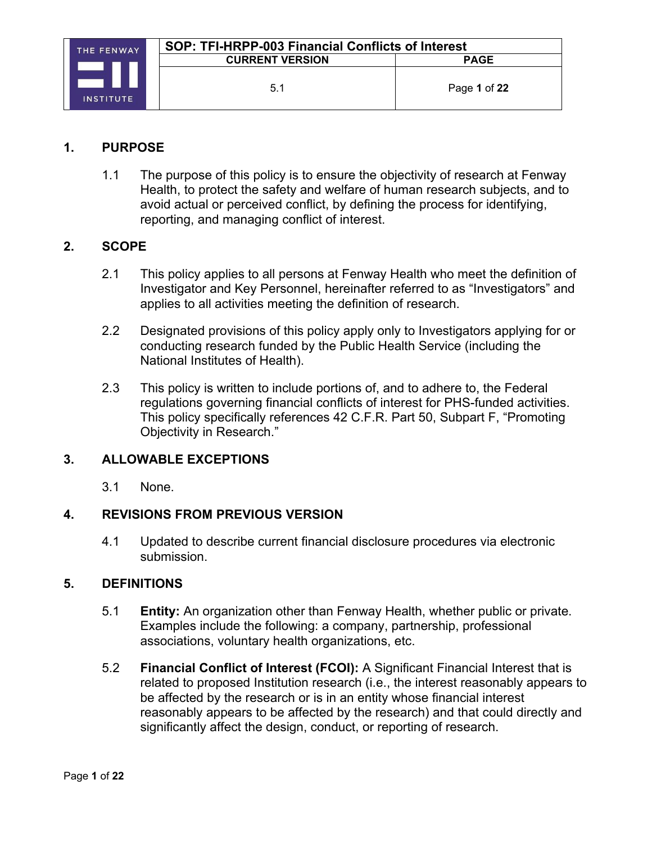#### **1. PURPOSE**

1.1 The purpose of this policy is to ensure the objectivity of research at Fenway Health, to protect the safety and welfare of human research subjects, and to avoid actual or perceived conflict, by defining the process for identifying, reporting, and managing conflict of interest.

#### **2. SCOPE**

- 2.1 This policy applies to all persons at Fenway Health who meet the definition of Investigator and Key Personnel, hereinafter referred to as "Investigators" and applies to all activities meeting the definition of research.
- 2.2 Designated provisions of this policy apply only to Investigators applying for or conducting research funded by the Public Health Service (including the National Institutes of Health).
- 2.3 This policy is written to include portions of, and to adhere to, the Federal regulations governing financial conflicts of interest for PHS-funded activities. This policy specifically references 42 C.F.R. Part 50, Subpart F, "Promoting Objectivity in Research."

#### **3. ALLOWABLE EXCEPTIONS**

3.1 None.

#### **4. REVISIONS FROM PREVIOUS VERSION**

4.1 Updated to describe current financial disclosure procedures via electronic submission.

#### **5. DEFINITIONS**

- 5.1 **Entity:** An organization other than Fenway Health, whether public or private. Examples include the following: a company, partnership, professional associations, voluntary health organizations, etc.
- 5.2 **Financial Conflict of Interest (FCOI):** A Significant Financial Interest that is related to proposed Institution research (i.e., the interest reasonably appears to be affected by the research or is in an entity whose financial interest reasonably appears to be affected by the research) and that could directly and significantly affect the design, conduct, or reporting of research.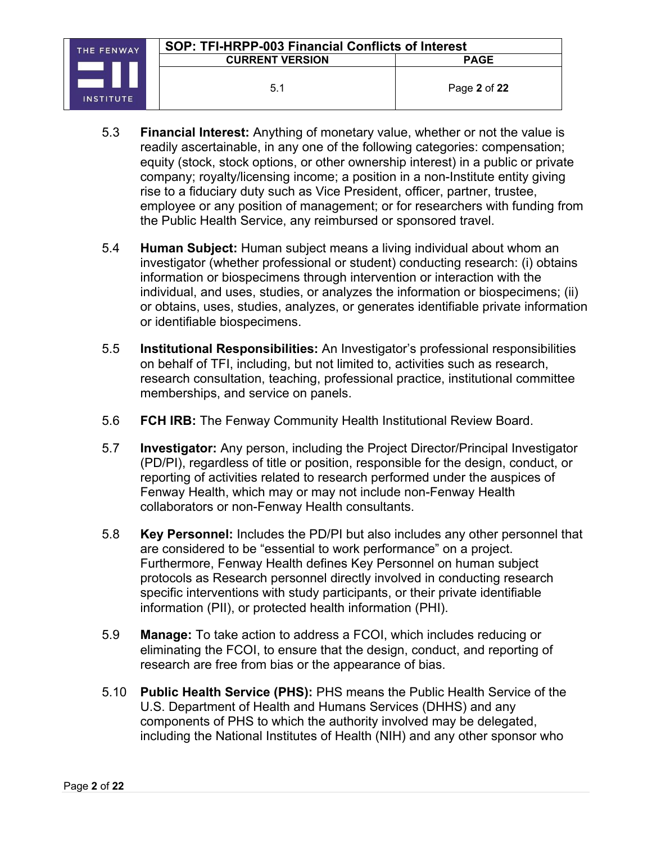- 5.3 **Financial Interest:** Anything of monetary value, whether or not the value is readily ascertainable, in any one of the following categories: compensation; equity (stock, stock options, or other ownership interest) in a public or private company; royalty/licensing income; a position in a non-Institute entity giving rise to a fiduciary duty such as Vice President, officer, partner, trustee, employee or any position of management; or for researchers with funding from the Public Health Service, any reimbursed or sponsored travel.
- 5.4 **Human Subject:** Human subject means a living individual about whom an investigator (whether professional or student) conducting research: (i) obtains information or biospecimens through intervention or interaction with the individual, and uses, studies, or analyzes the information or biospecimens; (ii) or obtains, uses, studies, analyzes, or generates identifiable private information or identifiable biospecimens.
- 5.5 **Institutional Responsibilities:** An Investigator's professional responsibilities on behalf of TFI, including, but not limited to, activities such as research, research consultation, teaching, professional practice, institutional committee memberships, and service on panels.
- 5.6 **FCH IRB:** The Fenway Community Health Institutional Review Board.
- 5.7 **Investigator:** Any person, including the Project Director/Principal Investigator (PD/PI), regardless of title or position, responsible for the design, conduct, or reporting of activities related to research performed under the auspices of Fenway Health, which may or may not include non-Fenway Health collaborators or non-Fenway Health consultants.
- 5.8 **Key Personnel:** Includes the PD/PI but also includes any other personnel that are considered to be "essential to work performance" on a project. Furthermore, Fenway Health defines Key Personnel on human subject protocols as Research personnel directly involved in conducting research specific interventions with study participants, or their private identifiable information (PII), or protected health information (PHI).
- 5.9 **Manage:** To take action to address a FCOI, which includes reducing or eliminating the FCOI, to ensure that the design, conduct, and reporting of research are free from bias or the appearance of bias.
- 5.10 **Public Health Service (PHS):** PHS means the Public Health Service of the U.S. Department of Health and Humans Services (DHHS) and any components of PHS to which the authority involved may be delegated, including the National Institutes of Health (NIH) and any other sponsor who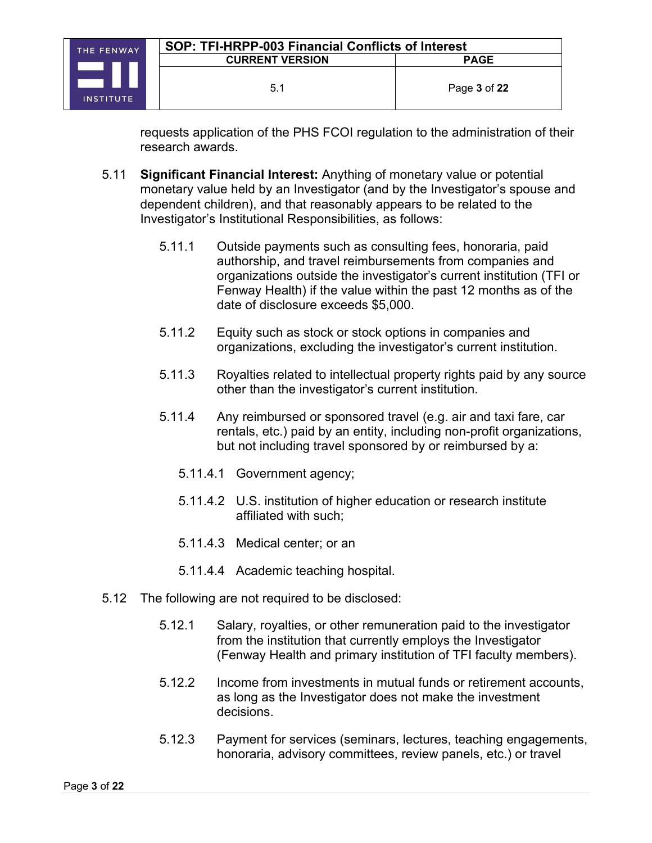requests application of the PHS FCOI regulation to the administration of their research awards.

- 5.11 **Significant Financial Interest:** Anything of monetary value or potential monetary value held by an Investigator (and by the Investigator's spouse and dependent children), and that reasonably appears to be related to the Investigator's Institutional Responsibilities, as follows:
	- 5.11.1 Outside payments such as consulting fees, honoraria, paid authorship, and travel reimbursements from companies and organizations outside the investigator's current institution (TFI or Fenway Health) if the value within the past 12 months as of the date of disclosure exceeds \$5,000.
	- 5.11.2 Equity such as stock or stock options in companies and organizations, excluding the investigator's current institution.
	- 5.11.3 Royalties related to intellectual property rights paid by any source other than the investigator's current institution.
	- 5.11.4 Any reimbursed or sponsored travel (e.g. air and taxi fare, car rentals, etc.) paid by an entity, including non-profit organizations, but not including travel sponsored by or reimbursed by a:
		- 5.11.4.1 Government agency;
		- 5.11.4.2 U.S. institution of higher education or research institute affiliated with such;
		- 5.11.4.3 Medical center; or an
		- 5.11.4.4 Academic teaching hospital.
- 5.12 The following are not required to be disclosed:
	- 5.12.1 Salary, royalties, or other remuneration paid to the investigator from the institution that currently employs the Investigator (Fenway Health and primary institution of TFI faculty members).
	- 5.12.2 Income from investments in mutual funds or retirement accounts, as long as the Investigator does not make the investment decisions.
	- 5.12.3 Payment for services (seminars, lectures, teaching engagements, honoraria, advisory committees, review panels, etc.) or travel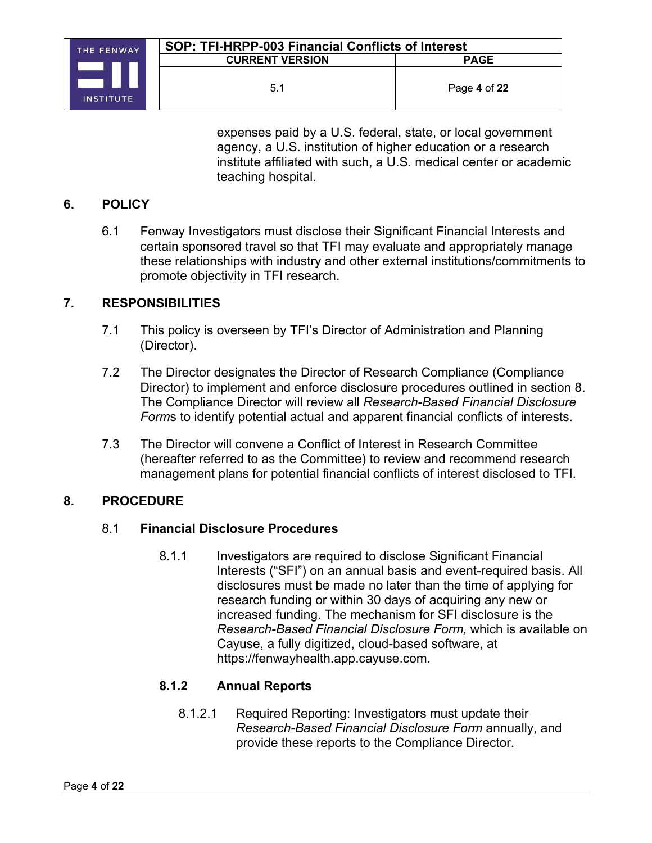

expenses paid by a U.S. federal, state, or local government agency, a U.S. institution of higher education or a research institute affiliated with such, a U.S. medical center or academic teaching hospital.

#### **6. POLICY**

6.1 Fenway Investigators must disclose their Significant Financial Interests and certain sponsored travel so that TFI may evaluate and appropriately manage these relationships with industry and other external institutions/commitments to promote objectivity in TFI research.

#### **7. RESPONSIBILITIES**

- 7.1 This policy is overseen by TFI's Director of Administration and Planning (Director).
- 7.2 The Director designates the Director of Research Compliance (Compliance Director) to implement and enforce disclosure procedures outlined in section 8. The Compliance Director will review all *Research-Based Financial Disclosure Form*s to identify potential actual and apparent financial conflicts of interests.
- 7.3 The Director will convene a Conflict of Interest in Research Committee (hereafter referred to as the Committee) to review and recommend research management plans for potential financial conflicts of interest disclosed to TFI.

#### **8. PROCEDURE**

#### 8.1 **Financial Disclosure Procedures**

8.1.1 Investigators are required to disclose Significant Financial Interests ("SFI") on an annual basis and event-required basis. All disclosures must be made no later than the time of applying for research funding or within 30 days of acquiring any new or increased funding. The mechanism for SFI disclosure is the *Research-Based Financial Disclosure Form,* which is available on Cayuse, a fully digitized, cloud-based software, at https://fenwayhealth.app.cayuse.com.

#### **8.1.2 Annual Reports**

8.1.2.1 Required Reporting: Investigators must update their *Research-Based Financial Disclosure Form* annually, and provide these reports to the Compliance Director.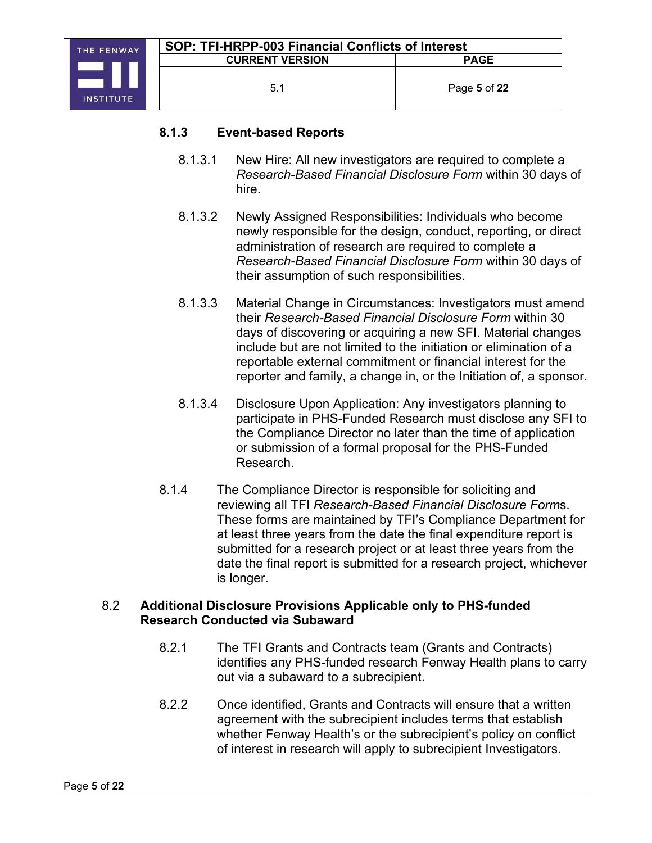#### **8.1.3 Event-based Reports**

- 8.1.3.1 New Hire: All new investigators are required to complete a *Research-Based Financial Disclosure Form* within 30 days of hire.
- 8.1.3.2 Newly Assigned Responsibilities: Individuals who become newly responsible for the design, conduct, reporting, or direct administration of research are required to complete a *Research-Based Financial Disclosure Form* within 30 days of their assumption of such responsibilities.
- 8.1.3.3 Material Change in Circumstances: Investigators must amend their *Research-Based Financial Disclosure Form* within 30 days of discovering or acquiring a new SFI. Material changes include but are not limited to the initiation or elimination of a reportable external commitment or financial interest for the reporter and family, a change in, or the Initiation of, a sponsor.
- 8.1.3.4 Disclosure Upon Application: Any investigators planning to participate in PHS-Funded Research must disclose any SFI to the Compliance Director no later than the time of application or submission of a formal proposal for the PHS-Funded Research.
- 8.1.4 The Compliance Director is responsible for soliciting and reviewing all TFI *Research-Based Financial Disclosure Form*s. These forms are maintained by TFI's Compliance Department for at least three years from the date the final expenditure report is submitted for a research project or at least three years from the date the final report is submitted for a research project, whichever is longer.

#### 8.2 **Additional Disclosure Provisions Applicable only to PHS-funded Research Conducted via Subaward**

- 8.2.1 The TFI Grants and Contracts team (Grants and Contracts) identifies any PHS-funded research Fenway Health plans to carry out via a subaward to a subrecipient.
- 8.2.2 Once identified, Grants and Contracts will ensure that a written agreement with the subrecipient includes terms that establish whether Fenway Health's or the subrecipient's policy on conflict of interest in research will apply to subrecipient Investigators.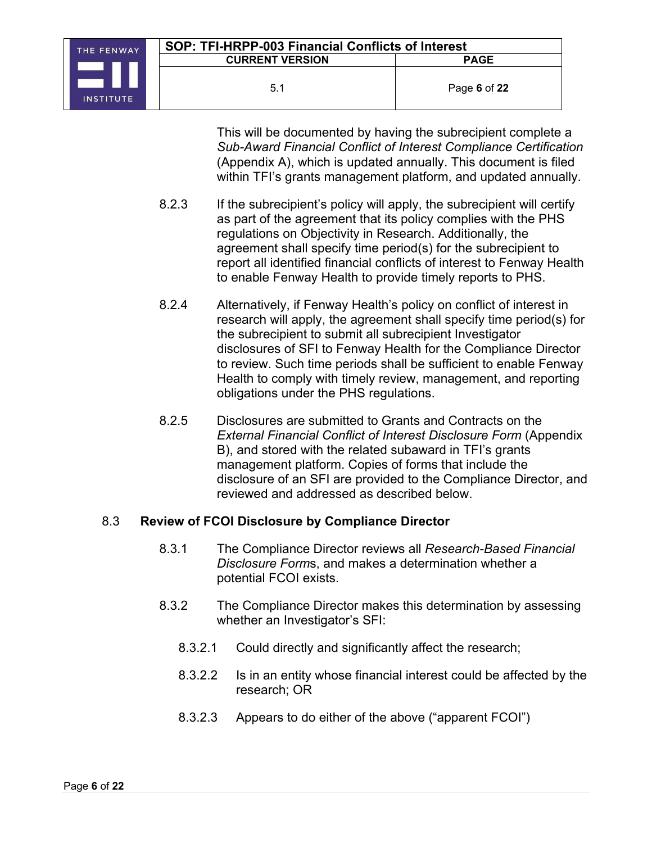

This will be documented by having the subrecipient complete a *Sub-Award Financial Conflict of Interest Compliance Certification* (Appendix A), which is updated annually. This document is filed within TFI's grants management platform, and updated annually.

- 8.2.3 If the subrecipient's policy will apply, the subrecipient will certify as part of the agreement that its policy complies with the PHS regulations on Objectivity in Research. Additionally, the agreement shall specify time period(s) for the subrecipient to report all identified financial conflicts of interest to Fenway Health to enable Fenway Health to provide timely reports to PHS.
- 8.2.4 Alternatively, if Fenway Health's policy on conflict of interest in research will apply, the agreement shall specify time period(s) for the subrecipient to submit all subrecipient Investigator disclosures of SFI to Fenway Health for the Compliance Director to review. Such time periods shall be sufficient to enable Fenway Health to comply with timely review, management, and reporting obligations under the PHS regulations.
- 8.2.5 Disclosures are submitted to Grants and Contracts on the *External Financial Conflict of Interest Disclosure Form* (Appendix B), and stored with the related subaward in TFI's grants management platform. Copies of forms that include the disclosure of an SFI are provided to the Compliance Director, and reviewed and addressed as described below.

# 8.3 **Review of FCOI Disclosure by Compliance Director**

- 8.3.1 The Compliance Director reviews all *Research-Based Financial Disclosure Form*s, and makes a determination whether a potential FCOI exists.
- 8.3.2 The Compliance Director makes this determination by assessing whether an Investigator's SFI:
	- 8.3.2.1 Could directly and significantly affect the research;
	- 8.3.2.2 Is in an entity whose financial interest could be affected by the research; OR
	- 8.3.2.3 Appears to do either of the above ("apparent FCOI")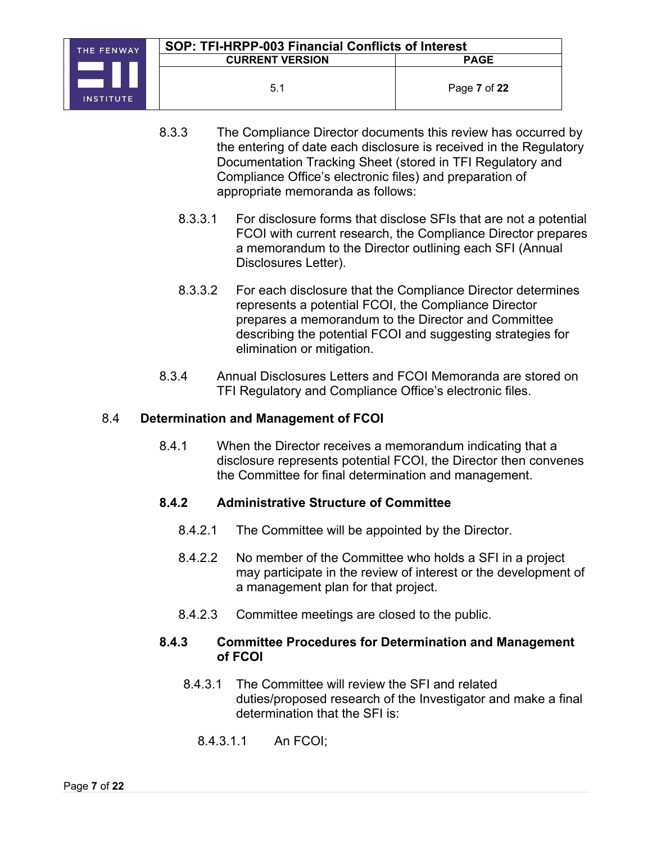- 8.3.3 The Compliance Director documents this review has occurred by the entering of date each disclosure is received in the Regulatory Documentation Tracking Sheet (stored in TFI Regulatory and Compliance Office's electronic files) and preparation of appropriate memoranda as follows:
	- 8.3.3.1 For disclosure forms that disclose SFIs that are not a potential FCOI with current research, the Compliance Director prepares a memorandum to the Director outlining each SFI (Annual Disclosures Letter).
	- 8.3.3.2 For each disclosure that the Compliance Director determines represents a potential FCOI, the Compliance Director prepares a memorandum to the Director and Committee describing the potential FCOI and suggesting strategies for elimination or mitigation.
- 8.3.4 Annual Disclosures Letters and FCOI Memoranda are stored on TFI Regulatory and Compliance Office's electronic files.

## 8.4 **Determination and Management of FCOI**

8.4.1 When the Director receives a memorandum indicating that a disclosure represents potential FCOI, the Director then convenes the Committee for final determination and management.

#### **8.4.2 Administrative Structure of Committee**

- 8.4.2.1 The Committee will be appointed by the Director.
- 8.4.2.2 No member of the Committee who holds a SFI in a project may participate in the review of interest or the development of a management plan for that project.
- 8.4.2.3 Committee meetings are closed to the public.

#### **8.4.3 Committee Procedures for Determination and Management of FCOI**

- 8.4.3.1 The Committee will review the SFI and related duties/proposed research of the Investigator and make a final determination that the SFI is:
	- 8.4.3.1.1 An FCOI;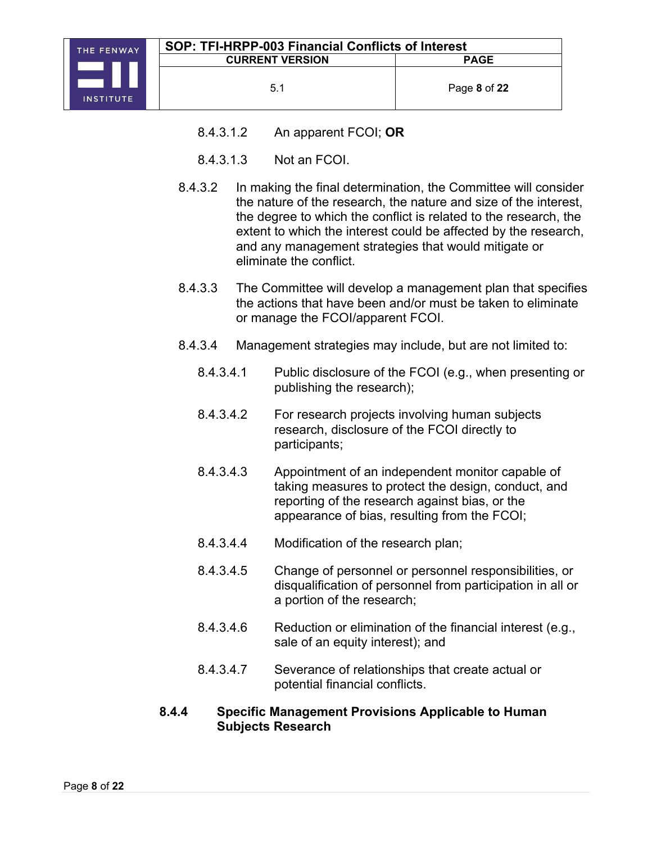

- 8.4.3.1.2 An apparent FCOI; **OR**
- 8.4.3.1.3 Not an FCOI.
- 8.4.3.2 In making the final determination, the Committee will consider the nature of the research, the nature and size of the interest, the degree to which the conflict is related to the research, the extent to which the interest could be affected by the research, and any management strategies that would mitigate or eliminate the conflict.
- 8.4.3.3 The Committee will develop a management plan that specifies the actions that have been and/or must be taken to eliminate or manage the FCOI/apparent FCOI.
- 8.4.3.4 Management strategies may include, but are not limited to:
	- 8.4.3.4.1 Public disclosure of the FCOI (e.g., when presenting or publishing the research);
	- 8.4.3.4.2 For research projects involving human subjects research, disclosure of the FCOI directly to participants;
	- 8.4.3.4.3 Appointment of an independent monitor capable of taking measures to protect the design, conduct, and reporting of the research against bias, or the appearance of bias, resulting from the FCOI;
	- 8.4.3.4.4 Modification of the research plan;
	- 8.4.3.4.5 Change of personnel or personnel responsibilities, or disqualification of personnel from participation in all or a portion of the research;
	- 8.4.3.4.6 Reduction or elimination of the financial interest (e.g., sale of an equity interest); and
	- 8.4.3.4.7 Severance of relationships that create actual or potential financial conflicts.

#### **8.4.4 Specific Management Provisions Applicable to Human Subjects Research**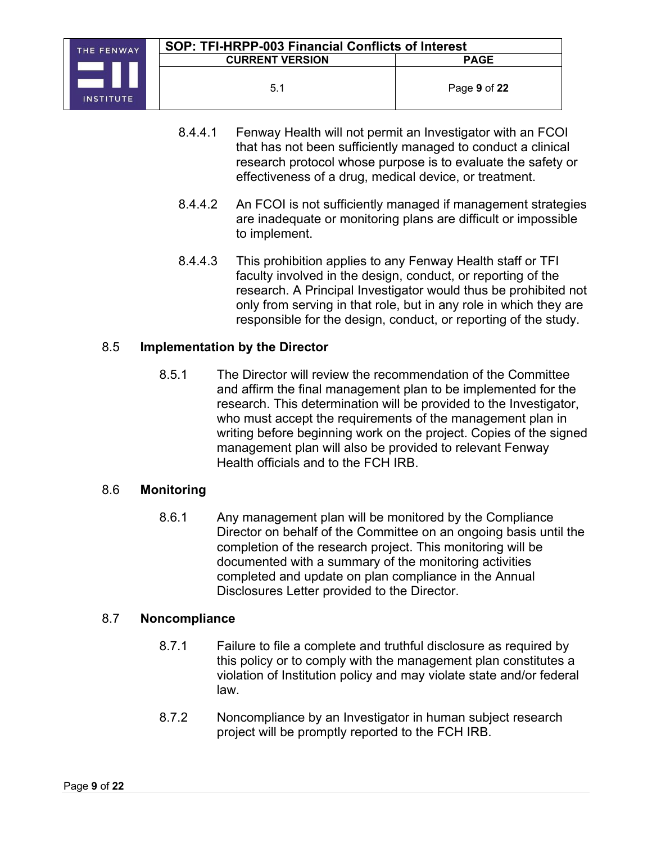

- 8.4.4.1 Fenway Health will not permit an Investigator with an FCOI that has not been sufficiently managed to conduct a clinical research protocol whose purpose is to evaluate the safety or effectiveness of a drug, medical device, or treatment.
- 8.4.4.2 An FCOI is not sufficiently managed if management strategies are inadequate or monitoring plans are difficult or impossible to implement.
- 8.4.4.3 This prohibition applies to any Fenway Health staff or TFI faculty involved in the design, conduct, or reporting of the research. A Principal Investigator would thus be prohibited not only from serving in that role, but in any role in which they are responsible for the design, conduct, or reporting of the study.

## 8.5 **Implementation by the Director**

8.5.1 The Director will review the recommendation of the Committee and affirm the final management plan to be implemented for the research. This determination will be provided to the Investigator, who must accept the requirements of the management plan in writing before beginning work on the project. Copies of the signed management plan will also be provided to relevant Fenway Health officials and to the FCH IRB.

#### 8.6 **Monitoring**

8.6.1 Any management plan will be monitored by the Compliance Director on behalf of the Committee on an ongoing basis until the completion of the research project. This monitoring will be documented with a summary of the monitoring activities completed and update on plan compliance in the Annual Disclosures Letter provided to the Director.

#### 8.7 **Noncompliance**

- 8.7.1 Failure to file a complete and truthful disclosure as required by this policy or to comply with the management plan constitutes a violation of Institution policy and may violate state and/or federal law.
- 8.7.2 Noncompliance by an Investigator in human subject research project will be promptly reported to the FCH IRB.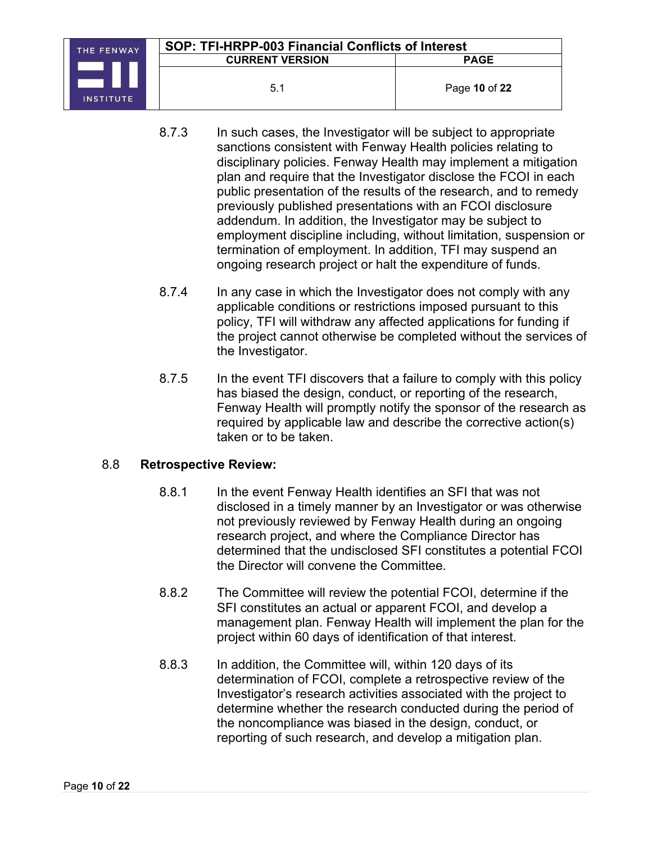

- 8.7.3 In such cases, the Investigator will be subject to appropriate sanctions consistent with Fenway Health policies relating to disciplinary policies. Fenway Health may implement a mitigation plan and require that the Investigator disclose the FCOI in each public presentation of the results of the research, and to remedy previously published presentations with an FCOI disclosure addendum. In addition, the Investigator may be subject to employment discipline including, without limitation, suspension or termination of employment. In addition, TFI may suspend an ongoing research project or halt the expenditure of funds.
- 8.7.4 In any case in which the Investigator does not comply with any applicable conditions or restrictions imposed pursuant to this policy, TFI will withdraw any affected applications for funding if the project cannot otherwise be completed without the services of the Investigator.
- 8.7.5 In the event TFI discovers that a failure to comply with this policy has biased the design, conduct, or reporting of the research, Fenway Health will promptly notify the sponsor of the research as required by applicable law and describe the corrective action(s) taken or to be taken.

#### 8.8 **Retrospective Review:**

- 8.8.1 In the event Fenway Health identifies an SFI that was not disclosed in a timely manner by an Investigator or was otherwise not previously reviewed by Fenway Health during an ongoing research project, and where the Compliance Director has determined that the undisclosed SFI constitutes a potential FCOI the Director will convene the Committee.
- 8.8.2 The Committee will review the potential FCOI, determine if the SFI constitutes an actual or apparent FCOI, and develop a management plan. Fenway Health will implement the plan for the project within 60 days of identification of that interest.
- 8.8.3 In addition, the Committee will, within 120 days of its determination of FCOI, complete a retrospective review of the Investigator's research activities associated with the project to determine whether the research conducted during the period of the noncompliance was biased in the design, conduct, or reporting of such research, and develop a mitigation plan.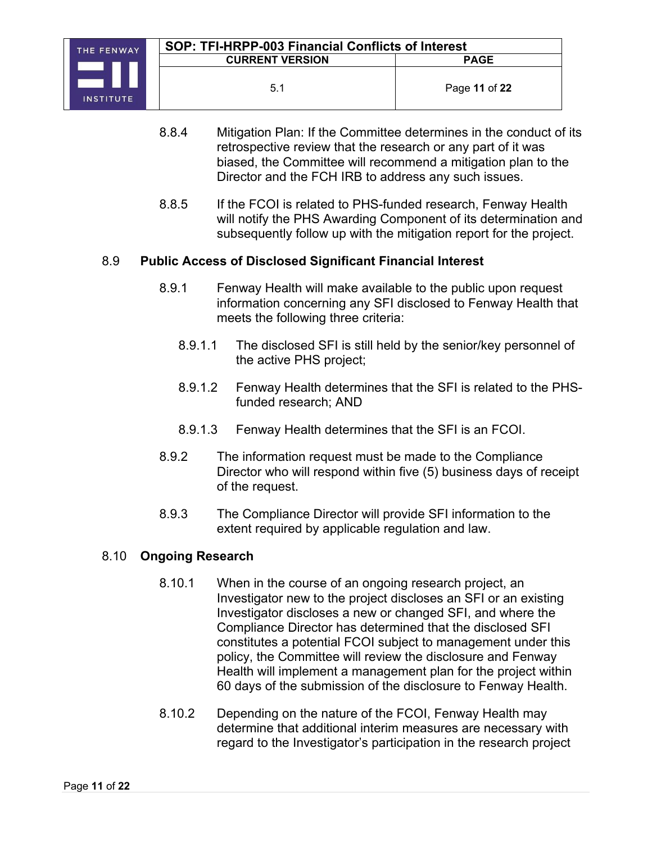

- 8.8.4 Mitigation Plan: If the Committee determines in the conduct of its retrospective review that the research or any part of it was biased, the Committee will recommend a mitigation plan to the Director and the FCH IRB to address any such issues.
- 8.8.5 If the FCOI is related to PHS-funded research, Fenway Health will notify the PHS Awarding Component of its determination and subsequently follow up with the mitigation report for the project.

#### 8.9 **Public Access of Disclosed Significant Financial Interest**

- 8.9.1 Fenway Health will make available to the public upon request information concerning any SFI disclosed to Fenway Health that meets the following three criteria:
	- 8.9.1.1 The disclosed SFI is still held by the senior/key personnel of the active PHS project;
	- 8.9.1.2 Fenway Health determines that the SFI is related to the PHSfunded research; AND
	- 8.9.1.3 Fenway Health determines that the SFI is an FCOI.
- 8.9.2 The information request must be made to the Compliance Director who will respond within five (5) business days of receipt of the request.
- 8.9.3 The Compliance Director will provide SFI information to the extent required by applicable regulation and law.

#### 8.10 **Ongoing Research**

- 8.10.1 When in the course of an ongoing research project, an Investigator new to the project discloses an SFI or an existing Investigator discloses a new or changed SFI, and where the Compliance Director has determined that the disclosed SFI constitutes a potential FCOI subject to management under this policy, the Committee will review the disclosure and Fenway Health will implement a management plan for the project within 60 days of the submission of the disclosure to Fenway Health.
- 8.10.2 Depending on the nature of the FCOI, Fenway Health may determine that additional interim measures are necessary with regard to the Investigator's participation in the research project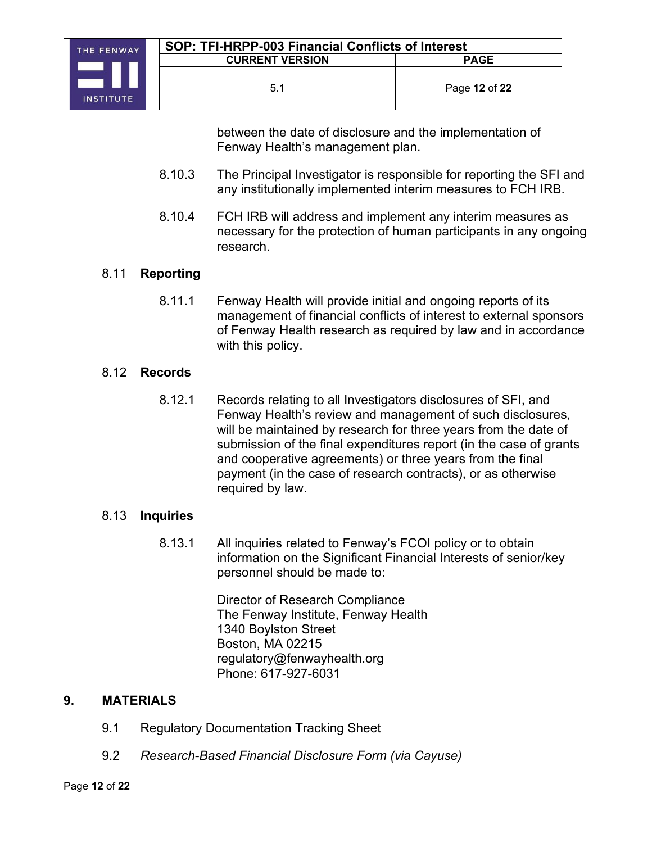between the date of disclosure and the implementation of Fenway Health's management plan.

- 8.10.3 The Principal Investigator is responsible for reporting the SFI and any institutionally implemented interim measures to FCH IRB.
- 8.10.4 FCH IRB will address and implement any interim measures as necessary for the protection of human participants in any ongoing research.

# 8.11 **Reporting**

8.11.1 Fenway Health will provide initial and ongoing reports of its management of financial conflicts of interest to external sponsors of Fenway Health research as required by law and in accordance with this policy.

#### 8.12 **Records**

8.12.1 Records relating to all Investigators disclosures of SFI, and Fenway Health's review and management of such disclosures, will be maintained by research for three years from the date of submission of the final expenditures report (in the case of grants and cooperative agreements) or three years from the final payment (in the case of research contracts), or as otherwise required by law.

#### 8.13 **Inquiries**

8.13.1 All inquiries related to Fenway's FCOI policy or to obtain information on the Significant Financial Interests of senior/key personnel should be made to:

> Director of Research Compliance The Fenway Institute, Fenway Health 1340 Boylston Street Boston, MA 02215 regulatory@fenwayhealth.org Phone: 617-927-6031

#### **9. MATERIALS**

- 9.1 Regulatory Documentation Tracking Sheet
- 9.2 *Research-Based Financial Disclosure Form (via Cayuse)*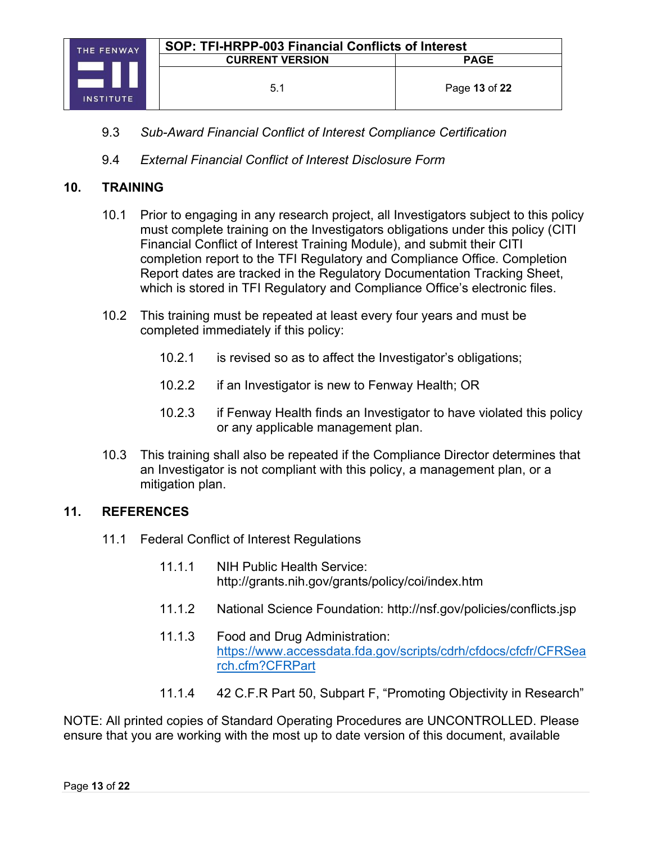

- 9.3 *Sub-Award Financial Conflict of Interest Compliance Certification*
- 9.4 *External Financial Conflict of Interest Disclosure Form*

#### **10. TRAINING**

- 10.1 Prior to engaging in any research project, all Investigators subject to this policy must complete training on the Investigators obligations under this policy (CITI Financial Conflict of Interest Training Module), and submit their CITI completion report to the TFI Regulatory and Compliance Office. Completion Report dates are tracked in the Regulatory Documentation Tracking Sheet, which is stored in TFI Regulatory and Compliance Office's electronic files.
- 10.2 This training must be repeated at least every four years and must be completed immediately if this policy:
	- 10.2.1 is revised so as to affect the Investigator's obligations;
	- 10.2.2 if an Investigator is new to Fenway Health; OR
	- 10.2.3 if Fenway Health finds an Investigator to have violated this policy or any applicable management plan.
- 10.3 This training shall also be repeated if the Compliance Director determines that an Investigator is not compliant with this policy, a management plan, or a mitigation plan.

#### **11. REFERENCES**

- 11.1 Federal Conflict of Interest Regulations
	- 11.1.1 NIH Public Health Service: http://grants.nih.gov/grants/policy/coi/index.htm
	- 11.1.2 National Science Foundation: http://nsf.gov/policies/conflicts.jsp
	- 11.1.3 Food and Drug Administration: [https://www.accessdata.fda.gov/scripts/cdrh/cfdocs/cfcfr/CFRSea](https://www.accessdata.fda.gov/scripts/cdrh/cfdocs/cfcfr/CFRSearch.cfm?CFRPart) [rch.cfm?CFRPart](https://www.accessdata.fda.gov/scripts/cdrh/cfdocs/cfcfr/CFRSearch.cfm?CFRPart)
	- 11.1.4 42 C.F.R Part 50, Subpart F, "Promoting Objectivity in Research"

NOTE: All printed copies of Standard Operating Procedures are UNCONTROLLED. Please ensure that you are working with the most up to date version of this document, available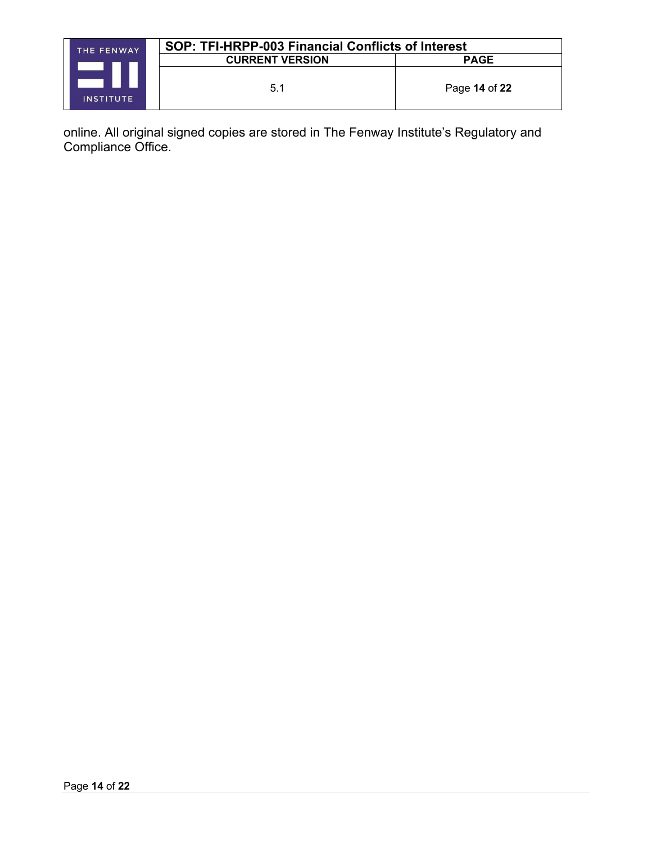| THE FENWAY       | SOP: TFI-HRPP-003 Financial Conflicts of Interest |               |
|------------------|---------------------------------------------------|---------------|
|                  | <b>CURRENT VERSION</b>                            | <b>PAGE</b>   |
| <b>INSTITUTE</b> | 5.1                                               | Page 14 of 22 |

online. All original signed copies are stored in The Fenway Institute's Regulatory and Compliance Office.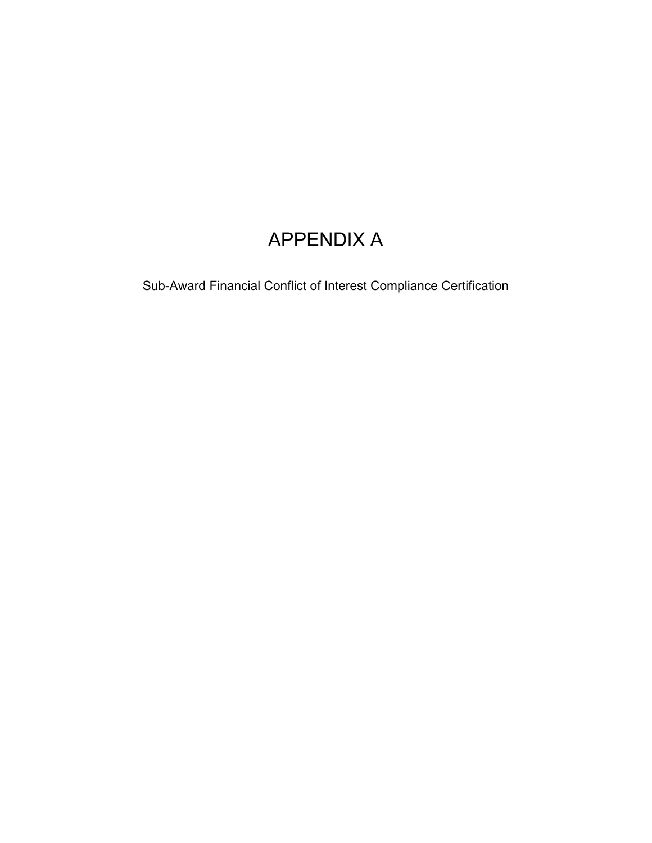# APPENDIX A

Sub-Award Financial Conflict of Interest Compliance Certification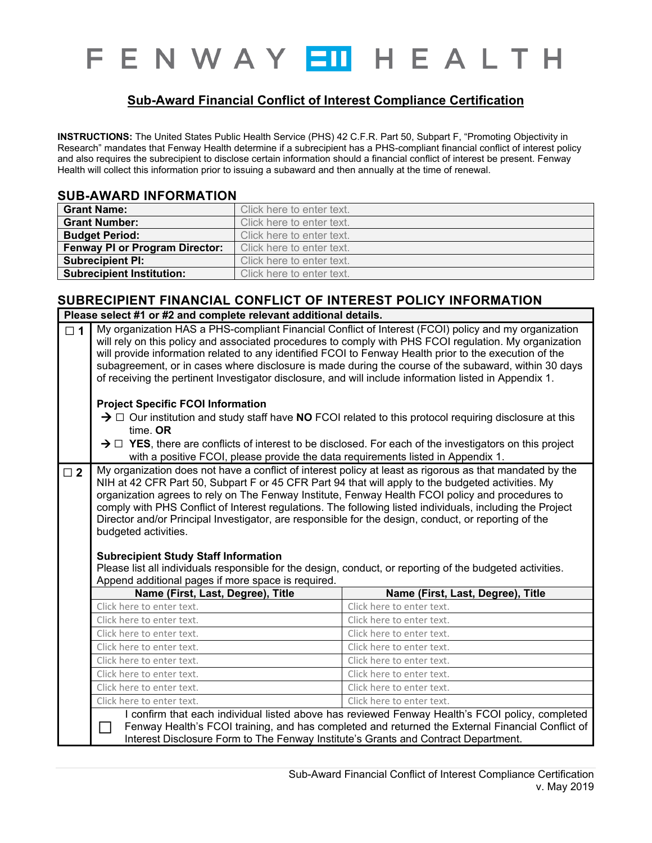# F E N W A Y EU H E A L T H

## **Sub-Award Financial Conflict of Interest Compliance Certification**

**INSTRUCTIONS:** The United States Public Health Service (PHS) 42 C.F.R. Part 50, Subpart F, "Promoting Objectivity in Research" mandates that Fenway Health determine if a subrecipient has a PHS-compliant financial conflict of interest policy and also requires the subrecipient to disclose certain information should a financial conflict of interest be present. Fenway Health will collect this information prior to issuing a subaward and then annually at the time of renewal.

#### **SUB-AWARD INFORMATION**

| <b>Grant Name:</b>                    | Click here to enter text. |
|---------------------------------------|---------------------------|
| <b>Grant Number:</b>                  | Click here to enter text. |
| <b>Budget Period:</b>                 | Click here to enter text. |
| <b>Fenway PI or Program Director:</b> | Click here to enter text. |
| <b>Subrecipient PI:</b>               | Click here to enter text. |
| <b>Subrecipient Institution:</b>      | Click here to enter text. |

#### **SUBRECIPIENT FINANCIAL CONFLICT OF INTEREST POLICY INFORMATION Please select #1 or #2 and complete relevant additional details.**

|             | Please select $\#T$ or $\#Z$ and complete relevant additional details.                                                                                                                                                                                                                                                                                                                                                                                                                                                                                                                                                                                                                                                                                                           |                                                                                                                                                                                                                                                                                                                                                                                                                                                                                                                                            |  |  |
|-------------|----------------------------------------------------------------------------------------------------------------------------------------------------------------------------------------------------------------------------------------------------------------------------------------------------------------------------------------------------------------------------------------------------------------------------------------------------------------------------------------------------------------------------------------------------------------------------------------------------------------------------------------------------------------------------------------------------------------------------------------------------------------------------------|--------------------------------------------------------------------------------------------------------------------------------------------------------------------------------------------------------------------------------------------------------------------------------------------------------------------------------------------------------------------------------------------------------------------------------------------------------------------------------------------------------------------------------------------|--|--|
| $\Box$ 1    |                                                                                                                                                                                                                                                                                                                                                                                                                                                                                                                                                                                                                                                                                                                                                                                  | My organization HAS a PHS-compliant Financial Conflict of Interest (FCOI) policy and my organization<br>will rely on this policy and associated procedures to comply with PHS FCOI regulation. My organization<br>will provide information related to any identified FCOI to Fenway Health prior to the execution of the<br>subagreement, or in cases where disclosure is made during the course of the subaward, within 30 days<br>of receiving the pertinent Investigator disclosure, and will include information listed in Appendix 1. |  |  |
|             | <b>Project Specific FCOI Information</b>                                                                                                                                                                                                                                                                                                                                                                                                                                                                                                                                                                                                                                                                                                                                         |                                                                                                                                                                                                                                                                                                                                                                                                                                                                                                                                            |  |  |
|             | time. OR                                                                                                                                                                                                                                                                                                                                                                                                                                                                                                                                                                                                                                                                                                                                                                         | $\rightarrow$ $\Box$ Our institution and study staff have NO FCOI related to this protocol requiring disclosure at this                                                                                                                                                                                                                                                                                                                                                                                                                    |  |  |
|             | with a positive FCOI, please provide the data requirements listed in Appendix 1.                                                                                                                                                                                                                                                                                                                                                                                                                                                                                                                                                                                                                                                                                                 | $\rightarrow$ $\Box$ YES, there are conflicts of interest to be disclosed. For each of the investigators on this project                                                                                                                                                                                                                                                                                                                                                                                                                   |  |  |
| $\square$ 2 | My organization does not have a conflict of interest policy at least as rigorous as that mandated by the<br>NIH at 42 CFR Part 50, Subpart F or 45 CFR Part 94 that will apply to the budgeted activities. My<br>organization agrees to rely on The Fenway Institute, Fenway Health FCOI policy and procedures to<br>comply with PHS Conflict of Interest regulations. The following listed individuals, including the Project<br>Director and/or Principal Investigator, are responsible for the design, conduct, or reporting of the<br>budgeted activities.<br><b>Subrecipient Study Staff Information</b><br>Please list all individuals responsible for the design, conduct, or reporting of the budgeted activities.<br>Append additional pages if more space is required. |                                                                                                                                                                                                                                                                                                                                                                                                                                                                                                                                            |  |  |
|             | Name (First, Last, Degree), Title                                                                                                                                                                                                                                                                                                                                                                                                                                                                                                                                                                                                                                                                                                                                                | Name (First, Last, Degree), Title                                                                                                                                                                                                                                                                                                                                                                                                                                                                                                          |  |  |
|             | Click here to enter text.                                                                                                                                                                                                                                                                                                                                                                                                                                                                                                                                                                                                                                                                                                                                                        | Click here to enter text.                                                                                                                                                                                                                                                                                                                                                                                                                                                                                                                  |  |  |
|             | Click here to enter text.                                                                                                                                                                                                                                                                                                                                                                                                                                                                                                                                                                                                                                                                                                                                                        | Click here to enter text.                                                                                                                                                                                                                                                                                                                                                                                                                                                                                                                  |  |  |
|             | Click here to enter text.                                                                                                                                                                                                                                                                                                                                                                                                                                                                                                                                                                                                                                                                                                                                                        | Click here to enter text.                                                                                                                                                                                                                                                                                                                                                                                                                                                                                                                  |  |  |
|             | Click here to enter text.                                                                                                                                                                                                                                                                                                                                                                                                                                                                                                                                                                                                                                                                                                                                                        | Click here to enter text.                                                                                                                                                                                                                                                                                                                                                                                                                                                                                                                  |  |  |
|             | Click here to enter text.                                                                                                                                                                                                                                                                                                                                                                                                                                                                                                                                                                                                                                                                                                                                                        | Click here to enter text.                                                                                                                                                                                                                                                                                                                                                                                                                                                                                                                  |  |  |
|             | Click here to enter text.                                                                                                                                                                                                                                                                                                                                                                                                                                                                                                                                                                                                                                                                                                                                                        | Click here to enter text.                                                                                                                                                                                                                                                                                                                                                                                                                                                                                                                  |  |  |
|             |                                                                                                                                                                                                                                                                                                                                                                                                                                                                                                                                                                                                                                                                                                                                                                                  |                                                                                                                                                                                                                                                                                                                                                                                                                                                                                                                                            |  |  |
|             | Click here to enter text.                                                                                                                                                                                                                                                                                                                                                                                                                                                                                                                                                                                                                                                                                                                                                        | Click here to enter text.                                                                                                                                                                                                                                                                                                                                                                                                                                                                                                                  |  |  |
|             | Click here to enter text.                                                                                                                                                                                                                                                                                                                                                                                                                                                                                                                                                                                                                                                                                                                                                        | Click here to enter text.<br>I confirm that each individual listed above has reviewed Fenway Health's FCOI policy, completed                                                                                                                                                                                                                                                                                                                                                                                                               |  |  |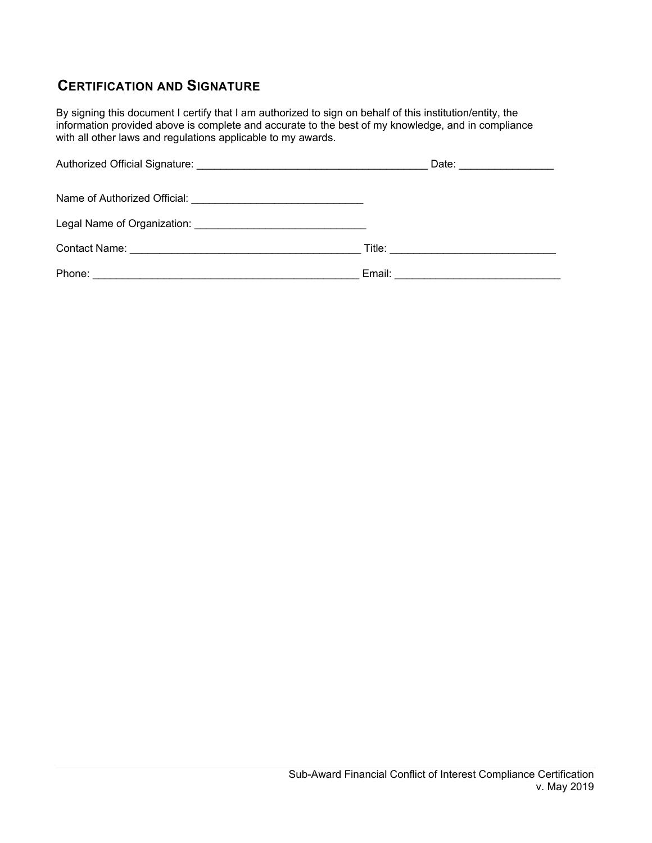# **CERTIFICATION AND SIGNATURE**

By signing this document I certify that I am authorized to sign on behalf of this institution/entity, the information provided above is complete and accurate to the best of my knowledge, and in compliance with all other laws and regulations applicable to my awards.

|        | Date: ________________ |
|--------|------------------------|
|        |                        |
|        |                        |
|        |                        |
| Phone: |                        |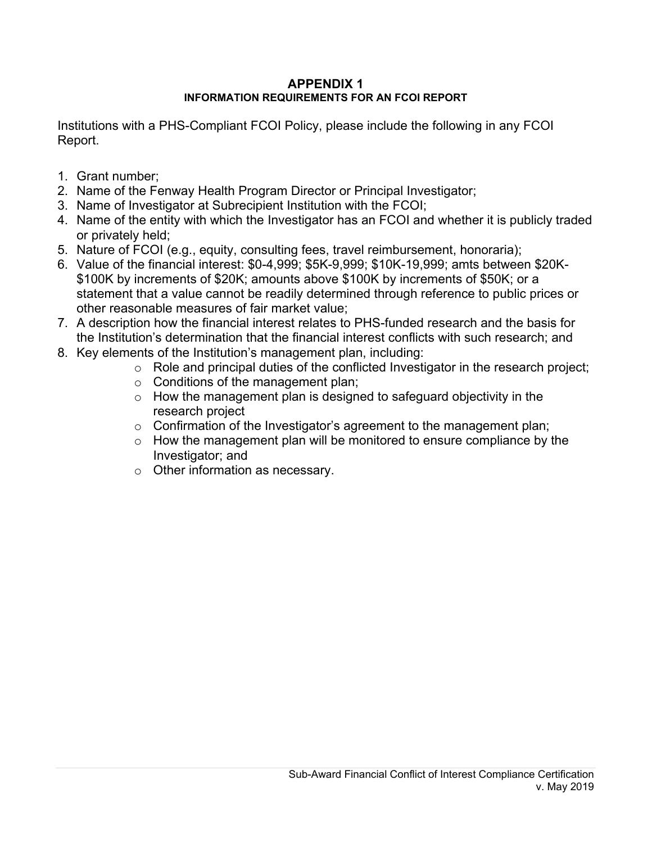#### **APPENDIX 1 INFORMATION REQUIREMENTS FOR AN FCOI REPORT**

Institutions with a PHS-Compliant FCOI Policy, please include the following in any FCOI Report.

- 1. Grant number;
- 2. Name of the Fenway Health Program Director or Principal Investigator;
- 3. Name of Investigator at Subrecipient Institution with the FCOI;
- 4. Name of the entity with which the Investigator has an FCOI and whether it is publicly traded or privately held;
- 5. Nature of FCOI (e.g., equity, consulting fees, travel reimbursement, honoraria);
- 6. Value of the financial interest: \$0-4,999; \$5K-9,999; \$10K-19,999; amts between \$20K- \$100K by increments of \$20K; amounts above \$100K by increments of \$50K; or a statement that a value cannot be readily determined through reference to public prices or other reasonable measures of fair market value;
- 7. A description how the financial interest relates to PHS-funded research and the basis for the Institution's determination that the financial interest conflicts with such research; and
- 8. Key elements of the Institution's management plan, including:
	- o Role and principal duties of the conflicted Investigator in the research project;
	- $\circ$  Conditions of the management plan;
	- $\circ$  How the management plan is designed to safeguard objectivity in the research project
	- $\circ$  Confirmation of the Investigator's agreement to the management plan;
	- $\circ$  How the management plan will be monitored to ensure compliance by the Investigator; and
	- o Other information as necessary.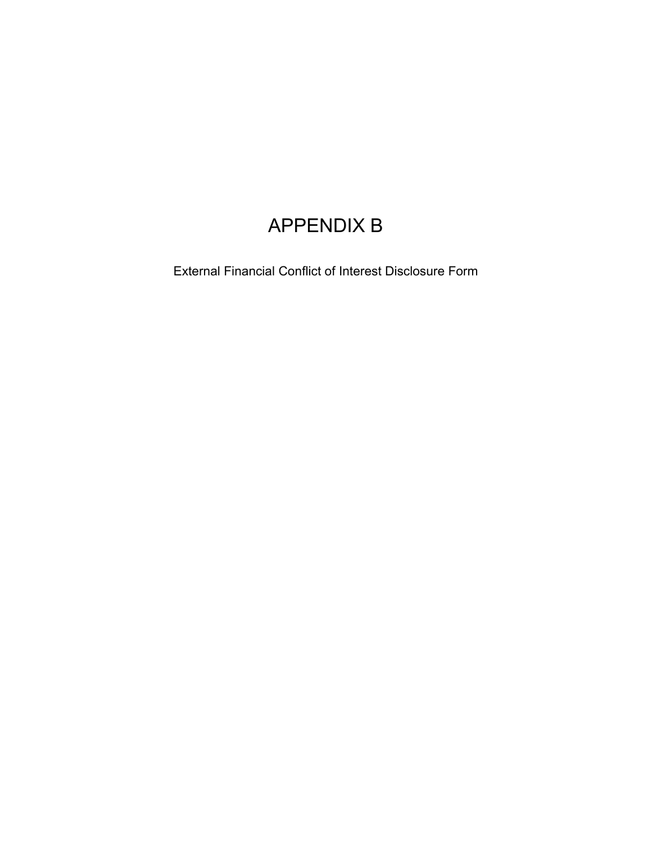# APPENDIX B

External Financial Conflict of Interest Disclosure Form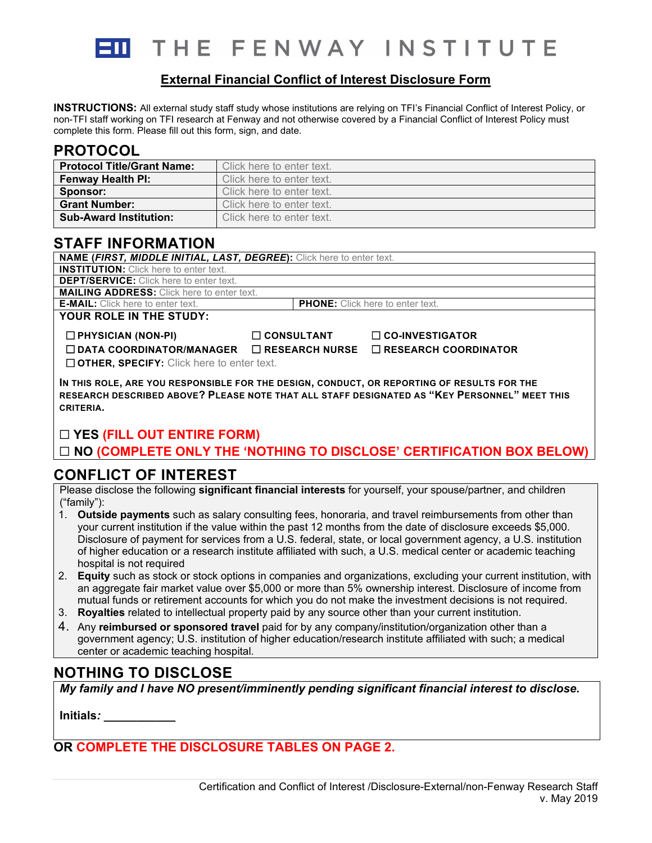

THE FENWAY INSTITUTE

#### **External Financial Conflict of Interest Disclosure Form**

**INSTRUCTIONS:** All external study staff study whose institutions are relying on TFI's Financial Conflict of Interest Policy, or non-TFI staff working on TFI research at Fenway and not otherwise covered by a Financial Conflict of Interest Policy must complete this form. Please fill out this form, sign, and date.

# **PROTOCOL**

| <b>Protocol Title/Grant Name:</b> | Click here to enter text. |
|-----------------------------------|---------------------------|
| <b>Fenway Health PI:</b>          | Click here to enter text. |
| Sponsor:                          | Click here to enter text. |
| <b>Grant Number:</b>              | Click here to enter text. |
| <b>Sub-Award Institution:</b>     | Click here to enter text. |

# **STAFF INFORMATION**

| NAME (FIRST, MIDDLE INITIAL, LAST, DEGREE): Click here to enter text.                      |                   |                                         |                        |
|--------------------------------------------------------------------------------------------|-------------------|-----------------------------------------|------------------------|
| <b>INSTITUTION:</b> Click here to enter text.                                              |                   |                                         |                        |
| <b>DEPT/SERVICE:</b> Click here to enter text.                                             |                   |                                         |                        |
| <b>MAILING ADDRESS:</b> Click here to enter text.                                          |                   |                                         |                        |
| <b>E-MAIL:</b> Click here to enter text.                                                   |                   | <b>PHONE:</b> Click here to enter text. |                        |
| YOUR ROLE IN THE STUDY:                                                                    |                   |                                         |                        |
| $\Box$ PHYSICIAN (NON-PI)                                                                  | $\Box$ CONSULTANT |                                         | $\Box$ CO-INVESTIGATOR |
| $\Box$ DATA COORDINATOR/MANAGER $\Box$ RESEARCH NURSE $\Box$ RESEARCH COORDINATOR          |                   |                                         |                        |
| $\Box$ OTHER, SPECIFY: Click here to enter text.                                           |                   |                                         |                        |
| IN THIS ROLE, ARE YOU RESPONSIBLE FOR THE DESIGN, CONDUCT, OR REPORTING OF RESULTS FOR THE |                   |                                         |                        |

# ☐ **YES (FILL OUT ENTIRE FORM)**

☐ **NO (COMPLETE ONLY THE 'NOTHING TO DISCLOSE' CERTIFICATION BOX BELOW)**

**RESEARCH DESCRIBED ABOVE? PLEASE NOTE THAT ALL STAFF DESIGNATED AS "KEY PERSONNEL" MEET THIS** 

# **CONFLICT OF INTEREST**

Please disclose the following **significant financial interests** for yourself, your spouse/partner, and children ("family"):

- 1. **Outside payments** such as salary consulting fees, honoraria, and travel reimbursements from other than your current institution if the value within the past 12 months from the date of disclosure exceeds \$5,000. Disclosure of payment for services from a U.S. federal, state, or local government agency, a U.S. institution of higher education or a research institute affiliated with such, a U.S. medical center or academic teaching hospital is not required
- 2. **Equity** such as stock or stock options in companies and organizations, excluding your current institution, with an aggregate fair market value over \$5,000 or more than 5% ownership interest. Disclosure of income from mutual funds or retirement accounts for which you do not make the investment decisions is not required.
- 3. **Royalties** related to intellectual property paid by any source other than your current institution.
- 4. Any **reimbursed or sponsored travel** paid for by any company/institution/organization other than a government agency; U.S. institution of higher education/research institute affiliated with such; a medical center or academic teaching hospital.

# **NOTHING TO DISCLOSE**

*My family and I have NO present/imminently pending significant financial interest to disclose***.**

**Initials***: \_\_\_\_\_\_\_\_\_\_\_*

**CRITERIA.**

**OR COMPLETE THE DISCLOSURE TABLES ON PAGE 2.**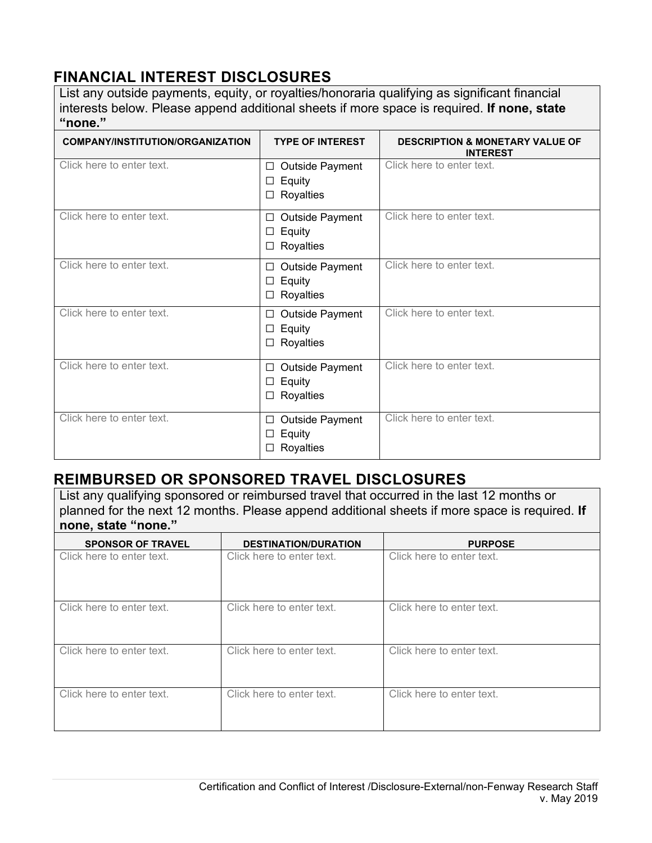# **FINANCIAL INTEREST DISCLOSURES**

List any outside payments, equity, or royalties/honoraria qualifying as significant financial interests below. Please append additional sheets if more space is required. **If none, state "none."**

| <b>COMPANY/INSTITUTION/ORGANIZATION</b> | <b>TYPE OF INTEREST</b>                                      | <b>DESCRIPTION &amp; MONETARY VALUE OF</b><br><b>INTEREST</b> |
|-----------------------------------------|--------------------------------------------------------------|---------------------------------------------------------------|
| Click here to enter text.               | <b>Outside Payment</b><br>□<br>Equity<br>□<br>Royalties<br>□ | Click here to enter text.                                     |
| Click here to enter text.               | Outside Payment<br>□<br>Equity<br>□<br>Royalties<br>□        | Click here to enter text.                                     |
| Click here to enter text.               | Outside Payment<br>□<br>Equity<br>□<br>Royalties<br>$\Box$   | Click here to enter text.                                     |
| Click here to enter text.               | Outside Payment<br>□<br>Equity<br>□<br>Royalties<br>□        | Click here to enter text.                                     |
| Click here to enter text.               | Outside Payment<br>□<br>Equity<br>□<br>Royalties<br>□        | Click here to enter text.                                     |
| Click here to enter text.               | Outside Payment<br>□<br>Equity<br>□<br>Royalties<br>□        | Click here to enter text.                                     |

# **REIMBURSED OR SPONSORED TRAVEL DISCLOSURES**

List any qualifying sponsored or reimbursed travel that occurred in the last 12 months or planned for the next 12 months. Please append additional sheets if more space is required. **If none, state "none."**

| <b>SPONSOR OF TRAVEL</b>  | <b>DESTINATION/DURATION</b> | <b>PURPOSE</b>            |
|---------------------------|-----------------------------|---------------------------|
| Click here to enter text. | Click here to enter text.   | Click here to enter text. |
| Click here to enter text. | Click here to enter text.   | Click here to enter text. |
| Click here to enter text. | Click here to enter text.   | Click here to enter text. |
| Click here to enter text. | Click here to enter text.   | Click here to enter text. |